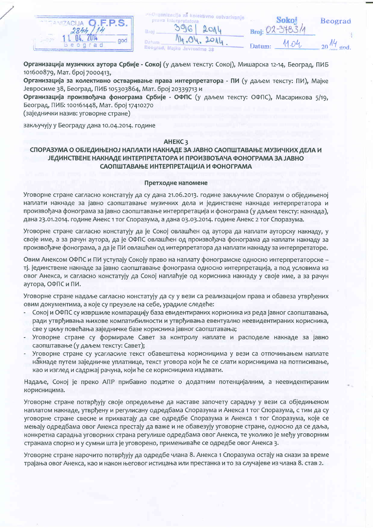

| va interpretatora      | ganizacija za kolektivno ostvarivanje |       |
|------------------------|---------------------------------------|-------|
|                        | 396 2014                              | Broj: |
| 14.04.2014             |                                       |       |
| ad, Majke Jevrosime 38 |                                       | Datur |

| Beogra |  |
|--------|--|
|        |  |

11.04.

Sol

 $20$   $14$  god

đ

Организација музичких аутора Србије - Сокој (у даљем тексту: Сокој), Мишарска 12-14, Београд, ПИБ 101600879, Мат. број 7000413,

**PROL** 

Broj.

Dátun

Beagn

pri

Организација за колективно остваривање права интерпретатора - ПИ (у даљем тексту: ПИ), Мајке Јевросиме 38, Београд, ПИБ 105303864, Мат. број 20339713 и

Организација произвођача фонограма Србије - ОФПС (у даљем тексту: ОФПС), Масарикова 5/19, Београд, ПИБ: 100161448, Мат. број 17410270

(заједнички назив: уговорне стране)

закључују у Београду дана 10.04.2014. године

# AHEKC<sub>3</sub>

# СПОРАЗУМА О ОБЈЕДИЊЕНОЈ НАПЛАТИ НАКНАДЕ ЗА ЈАВНО САОПШТАВАЊЕ МУЗИЧКИХ ДЕЛА И ЈЕДИНСТВЕНЕ НАКНАДЕ ИНТЕРПРЕТАТОРА И ПРОИЗВОЂАЧА ФОНОГРАМА ЗА ЈАВНО САОПШТАВАЊЕ ИНТЕРПРЕТАЦИЈА И ФОНОГРАМА

## Претходне напомене

Уговорне стране сагласно констатују да су дана 21.06.2013. године закључиле Споразум о обједињеној наплати накнаде за јавно саопштавање музичких дела и јединствене накнаде интерпретатора и произвођача фонограма за јавно саопштавање интерпретација и фонограма (у даљем тексту: накнада), дана 23.01.2014. године Анекс 1 тог Споразума, а дана 03.03.2014. године Анекс 2 тог Споразума.

Уговорне стране сагласно констатују да је Сокој овлашћен од аутора да наплати ауторску накнаду, у своје име, а за рачун аутора, да је ОФПС овлашћен од произвођача фонограма да наплати накнаду за произвођаче фонограма, а да је ПИ овлашћен од интерпретатора да наплати накнаду за интерпретаторе.

Овим Анексом ОФПС и ПИ уступају Сокоју право на наплату фонограмске односно интерпретаторске тј. јединствене накнаде за јавно саопштавање фонограма односно интерпретација, а под условима из овог Анекса, и сагласно констатују да Сокој наплаћује од корисника накнаду у своје име, а за рачун аутора, ОФПС и ПИ.

Уговорне стране надаље сагласно констатују да су у вези са реализацијом права и обавеза утврђених овим документима, а које су преузеле на себе, урадиле следеће:

- Сокој и ОФПС су извршиле компарацију база евидентираних корисника из реда јавног саопштавања, ради утврђивања њихове компатибилности и утврђивања евентуално неевидентираних корисника, све у циљу повећања заједничке базе корисника јавног саопштавања;
- Уговорне стране су формирале Савет за контролу наплате и расподеле накнаде за јавно саопштавање (у даљем тексту: Савет);
- Уговорне стране су усагласиле текст обавештења корисницима у вези са отпочињањем наплате накнаде путем заједничке уплатнице, текст уговора који ће се слати корисницима на потписивање, као и изглед и садржај рачуна, који ће се корисницима издавати.

Надаље, Сокој је преко АПР прибавио податке о додатним потенцијалним, а неевидентираним корисницима.

Уговорне стране потврђују своје опредељење да наставе започету сарадњу у вези са обједињеном наплатом накнаде, утврђену и регулисану одредбама Споразума и Анекса 1 тог Споразума, с тим да су уговорне стране свесне и прихватају да све одредбе Споразума и Анекса 1 тог Споразума, које се мењају одредбама овог Анекса престају да важе и не обавезују уговорне стране, односно да се даља, конкретна сарадња уговорних страна регулише одредбама овог Анекса, те уколико је међу уговорним странама спорно и у сумњи шта је уговорено, примењиваће се одредбе овог Анекса 3.

Уговорне стране нарочито потврђују да одредбе члана 8. Анекса 1 Споразума остају на снази за време трајања овог Анекса, као и након његовог истицања или престанка и то за случајеве из члана 8. став 2.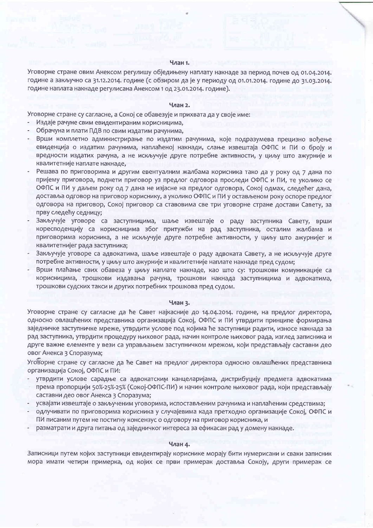#### Члан 1.

Уговорне стране овим Анексом регулишу обједињену наплату накнаде за период почев од 01.04.2014. године а закључно са 31.12.2014. године (с обзиром да је у периоду од 01.01.2014. године до 31.03.2014. године наплата накнаде регулисана Анексом 1 од 23.01.2014. године).

#### Члан 2.

Уговорне стране су сагласне, а Сокој се обавезује и прихвата да у своје име:

- Издаје рачуне свим евидентираним корисницима,
- Обрачуна и плати ПДВ по свим издатим рачунима,
- Врши комплетно администрирање по издатим рачунима, које подразумева прецизно вођење евиденција о издатим рачунима, наплаћеној накнади, слање извештаја ОФПС и ПИ о броју и вредности издатих рачуна, а не искључује друге потребне активности, у циљу што ажурније и квалитетније наплате накнаде,
- Решава по приговорима и другим евентуалним жалбама корисника тако да у року од 7 дана по пријему приговора, поднети приговор уз предлог одговора проследи ОФПС и ПИ, те уколико се ОФПС и ПИ у даљем року од 7 дана не изјасне на предлог одговора, Сокој одмах, следећег дана, доставља одговор на приговор кориснику, а уколико ОФПС и ПИ у остављеном року оспоре предлог одговора на приговор, Сокој приговор са ставовима све три уговорне стране достави Савету, за прву следећу седницу;
- Закључује уговоре са заступницима, шаље извештаје о раду заступника Савету, врши коресподенцију са корисницима због притужби на рад заступника, осталим жалбама и приговорима корисника, а не искључује друге потребне активности, у циљу што ажурнијег и квалитетнијег рада заступника;
- Закључује уговоре са адвокатима, шаље извештаје о раду адвоката Савету, а не искључује друге потребне активности, у циљу што ажурније и квалитетније наплате накнаде пред судом;
- Врши плаћање свих обавеза у циљу наплате накнаде, као што су: трошкови комуникације са корисницима, трошкови издавања рачуна, трошкови накнада заступницима и адвокатима, трошкови судских такси и других потребних трошкова пред судом.

#### Члан 3.

Уговорне стране су сагласне да ће Савет најкасније до 14.04.2014. године, на предлог директора, односно овлашћених представника организација Сокој, ОФПС и ПИ утврдити принципе формирања заједничке заступничке мреже, утврдити услове под којима ће заступници радити, износе накнада за рад заступника, утврдити процедуру њиховог рада, начин контроле њиховог рада, изглед записника и друге важне елементе у вези са управљањем заступничком мрежом, који представљају саставни део овог Анекса 3 Споразума;

Уговорне стране су сагласне да ће Савет на предлог директора односно овлашћених представника организација Сокој, ОФПС и ПИ:

- утврдити услове сарадње са адвокатским канцеларијама, дистрибуцију предмета адвокатима према пропорцији 50%-25%-25% (Сокој-ОФПС-ПИ) и начин контроле њиховог рада, који представљају саставни део овог Анекса 3 Споразума;
- усвајати извештаје о закљученим уговорима, испостављеним рачунима и наплаћеним средствима;
- одлучивати по приговорима корисника у случајевима када претходно организације Сокој, ОФПС и ПИ писаним путем не постигну консензус о одговору на приговор корисника, и
- разматрати и друга питања од заједничког интереса за ефикасан рад у домену накнаде.

#### Члан 4.

Записници путем којих заступници евидентирају кориснике морају бити нумерисани и сваки записник мора имати четири примерка, од којих се први примерак доставља Сокоју, други примерак се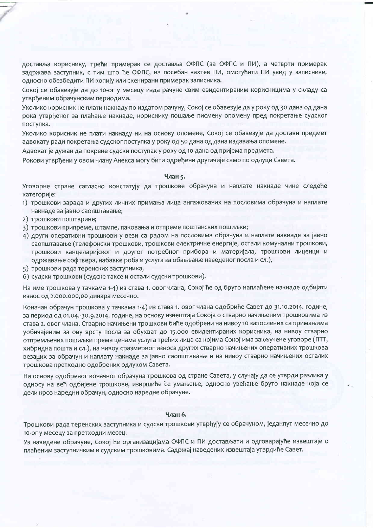доставља кориснику, трећи примерак се доставља ОФПС (за ОФПС и ПИ), а четврти примерак задржава заступник, с тим што ће ОФПС, на посебан захтев ПИ, омогућити ПИ увид у записнике, односно обезбедити ПИ копију или скенирани примерак записника.

Сокој се обавезује да до 10-ог у месецу изда рачуне свим евидентираним корисницима у складу са утврђеним обрачунским периодима.

Уколико корисник не плати накнаду по издатом рачуну, Сокој се обавезује да у року од 30 дана од дана рока утврђеног за плаћање накнаде, кориснику пошаље писмену опомену пред покретање судског поступка.

Уколико корисник не плати накнаду ни на основу опомене, Сокој се обавезује да достави предмет адвокату ради покретања судског поступка у року од 50 дана од дана издавања опомене.

Адвокат је дужан да покрене судски поступак у року од 10 дана од пријема предмета.

Рокови утврђени у овом члану Анекса могу бити одређени другачије само по одлуци Савета.

#### Члан 5.

Уговорне стране сагласно констатују да трошкове обрачуна и наплате накнаде чине следеће категорије:

- 1) трошкови зарада и других личних примања лица ангажованих на пословима обрачуна и наплате накнаде за јавно саопштавање;
- 2) трошкови поштарине;
- 3) трошкови припреме, штампе, паковања и отпреме поштанских пошиљки;
- 4) други оперативни трошкови у вези са радом на пословима обрачуна и наплате накнаде за јавно саопштавање (телефонски трошкови, трошкови електричне енергије, остали комунални трошкови, трошкови канцеларијског и другог потребног прибора и материјала, трошкови лиценци и одржавање софтвера, набавке роба и услуга за обављање наведеног посла и сл.),
- 5) трошкови рада теренских заступника,
- 6) судски трошкови (судске таксе и остали судски трошкови).

На име трошкова у тачкама 1-4) из става 1. овог члана, Сокој ће од бруто наплаћене накнаде одбијати износ од 2.000.000,00 динара месечно.

Коначан обрачун трошкова у тачкама 1-4) из става 1. овог члана одобриће Савет до 31.10.2014. године, за период од 01.04.-30.9.2014. године, на основу извештаја Сокоја о стварно начињеним трошковима из става 2. овог члана. Стварно начињени трошкови биће одобрени на нивоу 10 запослених са примањима уобичајеним за ову врсту посла за обухват до 15.000 евидентираних корисника, на нивоу стварно отпремљених пошиљки према ценама услуга трећих лица са којима Сокој има закључене уговоре (ПТТ, хибридна пошта и сл.), на нивоу сразмерног износа других стварно начињених оперативних трошкова везаних за обрачун и наплату накнаде за јавно саопштавање и на нивоу стварно начињених осталих трошкова претходно одобрених одлуком Савета.

На основу одобреног коначног обрачуна трошкова од стране Савета, у случају да се утврди разлика у односу на већ одбијене трошкове, извршиће се умањење, односно увећање бруто накнаде која се дели кроз наредни обрачун, односно наредне обрачуне.

#### Члан 6.

Трошкови рада теренских заступника и судски трошкови утврђују се обрачуном, једанпут месечно до 10-ог у месецу за претходни месец.

Уз наведене обрачуне, Сокој ће организацијама ОФПС и ПИ достављати и одговарајуће извештаје о плаћеним заступничким и судским трошковима. Садржај наведених извештаја утврдиће Савет.